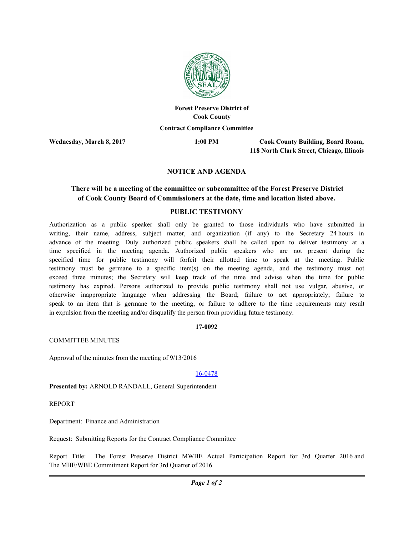

# **Forest Preserve District of Cook County Contract Compliance Committee**

**Wednesday, March 8, 2017 1:00 PM**

**Cook County Building, Board Room, 118 North Clark Street, Chicago, Illinois**

# **NOTICE AND AGENDA**

# **There will be a meeting of the committee or subcommittee of the Forest Preserve District of Cook County Board of Commissioners at the date, time and location listed above.**

### **PUBLIC TESTIMONY**

Authorization as a public speaker shall only be granted to those individuals who have submitted in writing, their name, address, subject matter, and organization (if any) to the Secretary 24 hours in advance of the meeting. Duly authorized public speakers shall be called upon to deliver testimony at a time specified in the meeting agenda. Authorized public speakers who are not present during the specified time for public testimony will forfeit their allotted time to speak at the meeting. Public testimony must be germane to a specific item(s) on the meeting agenda, and the testimony must not exceed three minutes; the Secretary will keep track of the time and advise when the time for public testimony has expired. Persons authorized to provide public testimony shall not use vulgar, abusive, or otherwise inappropriate language when addressing the Board; failure to act appropriately; failure to speak to an item that is germane to the meeting, or failure to adhere to the time requirements may result in expulsion from the meeting and/or disqualify the person from providing future testimony.

### **17-0092**

COMMITTEE MINUTES

Approval of the minutes from the meeting of 9/13/2016

#### 16-0478

**Presented by:** ARNOLD RANDALL, General Superintendent

REPORT

Department: Finance and Administration

Request: Submitting Reports for the Contract Compliance Committee

Report Title: The Forest Preserve District MWBE Actual Participation Report for 3rd Quarter 2016 and The MBE/WBE Commitment Report for 3rd Quarter of 2016